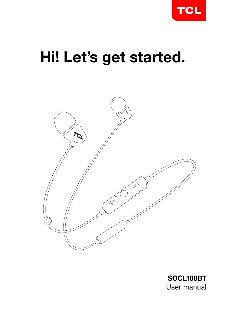

# Hi! Let's get started.



SOCL100BT User manual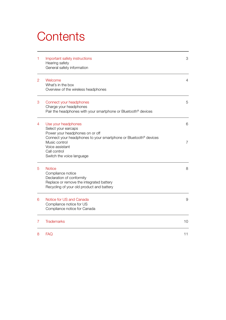## **Contents**

| 1              | Important safety instructions<br>Hearing safety<br>General safety information                                                                                 | 3  |
|----------------|---------------------------------------------------------------------------------------------------------------------------------------------------------------|----|
| $\overline{2}$ | Welcome<br>What's in the box<br>Overview of the wireless headphones                                                                                           | 4  |
| 3              | Connect your headphones<br>Charge your headphones<br>Pair the headphones with your smartphone or Bluetooth <sup>®</sup> devices                               | 5  |
| 4              | Use your headphones<br>Select your earcaps<br>Power your headphones on or off                                                                                 | 6  |
|                | Connect your headphones to your smartphone or Bluetooth <sup>®</sup> devices<br>Music control<br>Voice assistant<br>Call control<br>Switch the voice language | 7  |
| 5              | <b>Notice</b><br>Compliance notice<br>Declaration of conformity<br>Replace or remove the integrated battery<br>Recycling of your old product and battery      | 8  |
| 6              | Notice for US and Canada<br>Compliance notice for US<br>Compliance notice for Canada                                                                          | 9  |
| 7              | <b>Trademarks</b>                                                                                                                                             | 10 |
| 8              | <b>FAQ</b>                                                                                                                                                    | 11 |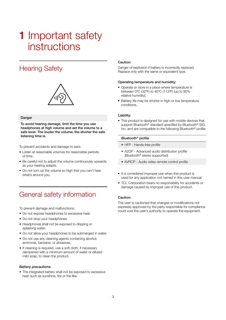## **1** Important safety instructions

### Hearing Safety



#### Danger

To avoid hearing damage, limit the time you use headphones at high volume and set the volume to a safe level. The louder the volume, the shorter the safe listening time is.

To prevent accidents and damage to ears:

- Listen at reasonable volumes for reasonable periods of time.
- Be careful not to adjust the volume continuously upwards as your hearing adapts.
- Do not turn up the volume so high that you can't hear what's around you.

### General safety information

To prevent damage and malfunctions:

- Do not expose headphones to excessive heat.
- Do not drop your headphones.
- Headphones shall not be exposed to dripping or splashing water.
- Do not allow your headphones to be submerged in water.
- Do not use any cleaning agents containing alcohol, ammonia, benzene, or abrasives.
- If cleaning is required, use a soft cloth, if necessary dampened with a minimum amount of water or diluted mild soap, to clean the product.

#### Battery precautions:

• The integrated battery shall not be exposed to excessive heat such as sunshine, fire or the like.

#### Caution:

Danger of explosion if battery is incorrectly replaced. Replace only with the same or equivalent type.

#### Operating temperature and humidity:

- Operate or store in a place where temperature is between 0ºC (32ºF) to 45ºC (113ºF) (up to 90% relative humidity).
- Battery life may be shorter in high or low temperature conditions.

#### Liability:

• This product is designed for use with mobile devices that support Bluetooth<sup>®</sup> standard specified by Bluetooth<sup>®</sup> SIG, Inc. and are compatible to the following Bluetooth® profile:

#### Bluetooth® profile

- HFP Hands-free profile
- A2DP Advanced audio distribution profile (Bluetooth® stereo supported)
- AVRCP Audio video remote control profile
- It is considered improper use when this product is used for any application not named in this user manual.
- TCL Corporation bears no responsibility for accidents or damage caused by improper use of this product.

#### Caution:

The user is cautioned that changes or modifications not expressly approved by the party responsible for compliance could void the user's authority to operate the equipment.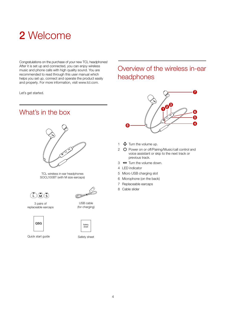## 2 Welcome

Congratulations on the purchase of your new TCL headphones! After it is set up and connected, you can enjoy wireless music and phone calls with high quality sound. You are recommended to read through this user manual which helps you set up, connect and operate the product easily and properly. For more information, visit www.tcl.com.

Let's get started.

### What's in the box



TCL wireless in-ear headphones SOCL100BT (with M size earcaps)





3 pairs of replaceable earcaps



Quick start guide

USB cable (for charging)



Safety sheet

### Overview of the wireless in-ear headphones



- 1  $\Phi$  Turn the volume up.
- 2 O Power on or off/Pairing/Music/call control and voice assistant or skip to the next track or previous track.
- $3 \implies$  Turn the volume down.
- 4 LED indicator
- 5 Micro USB charging slot
- 6 Microphone (on the back)
- 7 Replaceable earcaps
- 8 Cable slider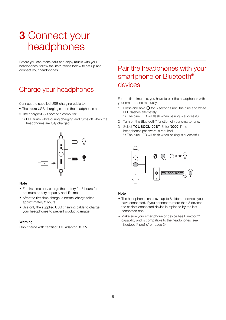## 3 Connect your headphones

Before you can make calls and enjoy music with your headphones, follow the instructions below to set up and connect your headphones.

### Charge your headphones

Connect the supplied USB charging cable to:

- The micro USB charging slot on the headphones and;
- The charger/USB port of a computer.
	- $\rightarrow$  LED turns white during charging and turns off when the headphones are fully charged.



#### **Note**

- For first time use, charge the battery for 5 hours for optimum battery capacity and lifetime.
- After the first time charge, a normal charge takes approximately 2 hours.
- Use only the supplied USB charging cable to charge your headphones to prevent product damage.

#### Warning

Only charge with certified USB adaptor DC 5V

### Pair the headphones with your smartphone or Bluetooth<sup>®</sup> devices

For the first time use, you have to pair the headphones with your smartphone manually.

- 1 Press and hold  $\Omega$  for 5 seconds until the blue and white LED flashes alternately.
	- $\rightarrow$  The blue LED will flash when pairing is successful.
- 2 Turn on the Bluetooth<sup>®</sup> function of your smartphone.
- 3 Select TCL SOCL100BT. Enter '0000' if the headphones password is required.  $\rightarrow$  The blue LED will flash when pairing is successful.



#### **Note**

- The headphones can save up to 8 different devices you have connected. If you connect to more than 8 devices, the earliest connected device is replaced by the last connected one.
- Make sure your smartphone or device has Bluetooth<sup>®</sup> capability and is compatible to the headphones (see 'Bluetooth® profile' on page 3).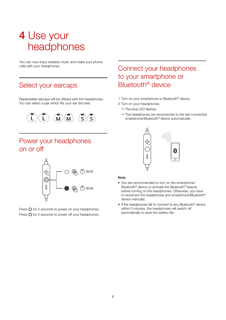## 4 Use your headphones

You can now enjoy wireless music and make your phone calls with your headphones.

### Select your earcaps

Replaceable earcaps will be offered with the headphones. You can select a pair which fits your ear the best.



### Power your headphones on or off



Press  $\bigcirc$  for 2 seconds to power on your headphones. Press  $\bigcirc$  for 5 seconds to power off your headphones.

### Connect your headphones to your smartphone or Bluetooth® device

- 1 Turn on your smartphone or Bluetooth® device.
- 2 Turn on your headphones.
	- $ightharpoonup$  The blue LED flashes.
	- $\rightarrow$  The headphones are reconnected to the last connected smartphone/Bluetooth<sup>®</sup> device automatically.



#### Note

- You are recommended to turn on the smartphone/ Bluetooth<sup>®</sup> device or activate the Bluetooth<sup>®</sup> feature before turning on the headphones. Otherwise, you have to reconnect the headphones and smartphone/Bluetooth® device manually.
- If the headphones fail to connect to any Bluetooth® device within 5 minutes, the headphones will switch off automatically to save the battery life.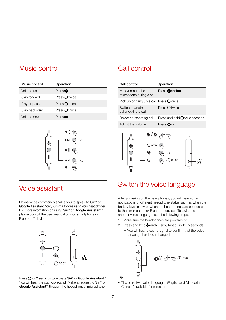### Music control

| Music control | Operation             |
|---------------|-----------------------|
| Volume up     | Press <b>다</b>        |
| Skip forward  | Press $O$ twice       |
| Play or pause | Press $\bigcirc$ once |
| Skip backward | Press $O$ thrice      |
| Volume down   | Press $\equiv$        |



### Voice assistant

Phone voice commands enable you to speak to Siri® or Google Assistant™ on your smartphone using your headphones. For more infomation on using Siri<sup>®</sup> or Google Assistant<sup>™</sup>. please consult the user manual of your smartphone or Bluetooth<sup>®</sup> device.



Press **O** for 2 seconds to activate Siri® or Google Assistant<sup>™</sup>. You will hear the start-up sound. Make a request to Siri® or Google Assistant™ through the headphones' microphone.

### Call control

| Call control                                | Operation                               |
|---------------------------------------------|-----------------------------------------|
| Mute/unmute the<br>microphone during a call | Press $\bigoplus$ and $\bigoplus$       |
| Pick up or hang up a call Press $Q$ once    |                                         |
| Switch to another<br>caller during a call   | Press $\bigcap$ twice                   |
| Reject an incoming call                     | Press and hold $\bigcirc$ for 2 seconds |
| Adjust the volume                           | Press dpor —                            |
|                                             |                                         |



### Switch the voice language

After powering on the headphones, you will hear voice notifications of different headphone status such as when the battery level is low or when the headphones are connected to the smartphone or Bluetooth device. To switch to another voice language, see the following steps.

- 1 Make sure the headphones are powered on.
- 2 Press and hold  $\oplus$  and  $\equiv$  simultaneously for 5 seconds.
	- You will hear a sound signal to confirm that the voice language has been changed.



• There are two voice languages (English and Mandarin Chinese) available for selection.

Tip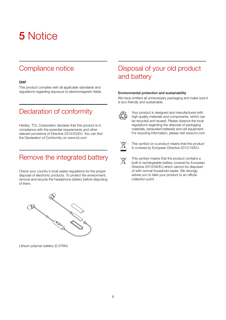## 5 Notice

### Compliance notice

#### EMF

This product complies with all applicable standards and regulations regarding exposure to electromagnetic fields.

### Declaration of conformity

Hereby, TCL Corporation declares that this product is in compliance with the essential requirements and other relevant provisions of Directive 2014/53/EU. You can find the Declaration of Conformity on www.tcl.com

### Remove the integrated battery

Check your country's local waste regulations for the proper disposal of electronic products. To protect the environment, remove and recycle the headphone battery before disposing of them.



#### Environmental protection and sustainability

We have omitted all unnecessary packaging and make sure it is eco-friendly and sustainable.



Your product is designed and manufactured with high quality materials and components, which can be recycled and reused. Please observe the local regulations regarding the disposal of packaging materials, exhausted batteries and old equipment. For recycling information, please visit www.tcl.com



This symbol on a product means that the product is covered by European Directive 2012/19/EU.

This symbol means that the product contains a built-in rechargeable battery covered by European Directive 2013/56/EU which cannot be disposed of with normal household waste. We strongly advise you to take your product to an official collection point.



Lithium polymer battery (0.37Wh)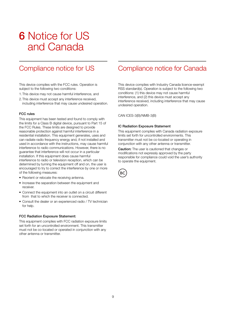## 6 Notice for US and Canada

### Compliance notice for US

This device complies with the FCC rules. Operation is subject to the following two conditions:

- 1. This device may not cause harmful interference, and
- 2. This device must accept any interference received, including interference that may cause undesired operation.

#### FCC rules

This equipment has been tested and found to comply with the limits for a Class B digital device, pursuant to Part 15 of the FCC Rules. These limits are designed to provide reasonable protection against harmful interference in a residential installation. This equipment generates, uses and can radiate radio frequency energy and, if not installed and used in accordance with the instructions, may cause harmful interference to radio communications. However, there is no guarantee that interference will not occur in a particular installation. If this equipment does cause harmful interference to radio or television reception, which can be determined by turning the equipment off and on, the user is encouraged to try to correct the interference by one or more of the following measures:

- Reorient or relocate the receiving antenna.
- Increase the separation between the equipment and receiver.
- Connect the equipment into an outlet on a circuit different from that to which the receiver is connected.
- Consult the dealer or an experienced radio / TV technician for help.

#### FCC Radiation Exposure Statement:

This equipment complies with FCC radiation exposure limits set forth for an uncontrolled environment. This transmitter must not be co-located or operated in conjunction with any other antenna or transmitter.

### Compliance notice for Canada

This device complies with Industry Canada licence-exempt RSS standard(s). Operation is subject to the following two conditions: (1) this device may not cause harmful interference, and (2) this device must accept any interference received, including interference that may cause undesired operation.

CAN ICES-3(B)/NMB-3(B)

#### IC Radiation Exposure Statement

This equipment complies with Canada radiation exposure limits set forth for uncontrolled environments. This transmitter must not be co-located or operating in conjunction with any other antenna or transmitter.

Caution: The user is cautioned that changes or modifications not expressly approved by the party responsible for compliance could void the user's authority to operate the equipment.

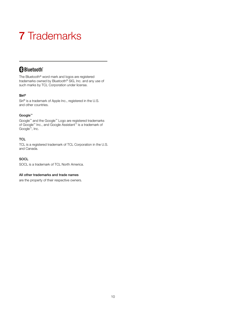## 7 Trademarks

### **&Bluetooth**®

The Bluetooth® word mark and logos are registered trademarks owned by Bluetooth® SIG, Inc. and any use of such marks by TCL Corporation under license.

### Siri®

Siri® is a trademark of Apple Inc., registered in the U.S. and other countries.

#### Google™

Google™ and the Google™ Logo are registered trademarks of Google™ Inc., and Google Assistant™ is a trademark of Google™, Inc.

### **TCL**

TCL is a registered trademark of TCL Corporation in the U.S. and Canada.

#### **SOCL**

SOCL is a trademark of TCL North America.

#### All other trademarks and trade names

are the property of their respective owners.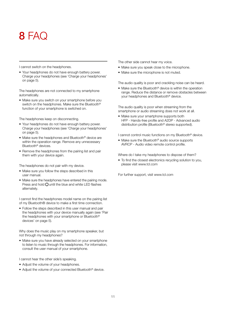## $8$  FAC

I cannot switch on the headphones.

• Your headphones do not have enough battery power. Charge your headphones (see 'Charge your headphones' on page 5).

The headphones are not connected to my smartphone automatically.

• Make sure you switch on your smartphone before you switch on the headphones. Make sure the Bluetooth® function of your smartphone is switched on.

The headphones keep on disconnecting.

- Your headphones do not have enough battery power. Charge your headphones (see 'Charge your headphones' on page 5).
- Make sure the headphones and Bluetooth® device are within the operation range. Remove any unnecessary Bluetooth® devices.
- Remove the headphones from the pairing list and pair them with your device again.

The headphones do not pair with my device.

- Make sure you follow the steps described in this user manual.
- Make sure the headphones have entered the pairing mode. Press and hold  $\bigcirc$  until the blue and white LED flashes alternately.

I cannot find the headphones model name on the pairing list of my Bluetooth® device to make a first time connection.

• Follow the steps described in this user manual and pair the headphones with your device manually again (see 'Pair the headphones with your smartphone or Bluetooth<sup>®</sup> devices' on page 5).

Why does the music play on my smartphone speaker, but not through my headphones?

• Make sure you have already selected on your smartphone to listen to music through the headphones. For information, consult the user manual of your smartphone.

I cannot hear the other side's speaking.

- Adjust the volume of your headphones.
- Adjust the volume of your connected Bluetooth<sup>®</sup> device.

The other side cannot hear my voice.

- Make sure you speak close to the microphone.
- Make sure the microphone is not muted.

The audio quality is poor and crackling noise can be heard.

• Make sure the Bluetooth® device is within the operation range. Reduce the distance or remove obstacles between your headphones and Bluetooth® device.

The audio quality is poor when streaming from the smartphone or audio streaming does not work at all.

• Make sure your smartphone supports both HFP - Hands-free profile and A2DP - Advanced audio distribution profile (Bluetooth® stereo supported).

I cannot control music functions on my Bluetooth® device.

• Make sure the Bluetooth® audio source supports AVRCP - Audio video remote control profile.

Where do I take my headphones to dispose of them?

• To find the closest electronics recycling solution to you, please visit www.tcl.com

For further support, visit www.tcl.com